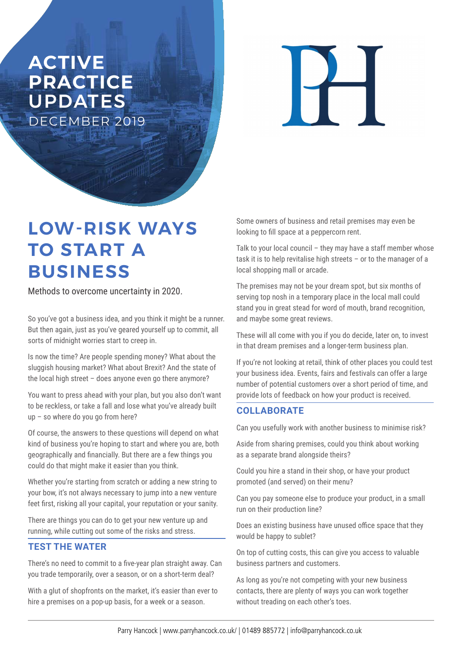## **ACTIVE PRACTICE**  UPDATES DECEMBER 2019

 $\overline{\blacksquare}$ 

# **LOW-RISK WAYS TO START A BUSINESS**

Methods to overcome uncertainty in 2020.

So you've got a business idea, and you think it might be a runner. But then again, just as you've geared yourself up to commit, all sorts of midnight worries start to creep in.

Is now the time? Are people spending money? What about the sluggish housing market? What about Brexit? And the state of the local high street – does anyone even go there anymore?

You want to press ahead with your plan, but you also don't want to be reckless, or take a fall and lose what you've already built up – so where do you go from here?

Of course, the answers to these questions will depend on what kind of business you're hoping to start and where you are, both geographically and financially. But there are a few things you could do that might make it easier than you think.

Whether you're starting from scratch or adding a new string to your bow, it's not always necessary to jump into a new venture feet first, risking all your capital, your reputation or your sanity.

There are things you can do to get your new venture up and running, while cutting out some of the risks and stress.

#### **TEST THE WATER**

There's no need to commit to a five-year plan straight away. Can you trade temporarily, over a season, or on a short-term deal?

With a glut of shopfronts on the market, it's easier than ever to hire a premises on a pop-up basis, for a week or a season.

Some owners of business and retail premises may even be looking to fill space at a peppercorn rent.

Talk to your local council – they may have a staff member whose task it is to help revitalise high streets – or to the manager of a local shopping mall or arcade.

The premises may not be your dream spot, but six months of serving top nosh in a temporary place in the local mall could stand you in great stead for word of mouth, brand recognition, and maybe some great reviews.

These will all come with you if you do decide, later on, to invest in that dream premises and a longer-term business plan.

If you're not looking at retail, think of other places you could test your business idea. Events, fairs and festivals can offer a large number of potential customers over a short period of time, and provide lots of feedback on how your product is received.

#### **COLLABORATE**

Can you usefully work with another business to minimise risk?

Aside from sharing premises, could you think about working as a separate brand alongside theirs?

Could you hire a stand in their shop, or have your product promoted (and served) on their menu?

Can you pay someone else to produce your product, in a small run on their production line?

Does an existing business have unused office space that they would be happy to sublet?

On top of cutting costs, this can give you access to valuable business partners and customers.

As long as you're not competing with your new business contacts, there are plenty of ways you can work together without treading on each other's toes.